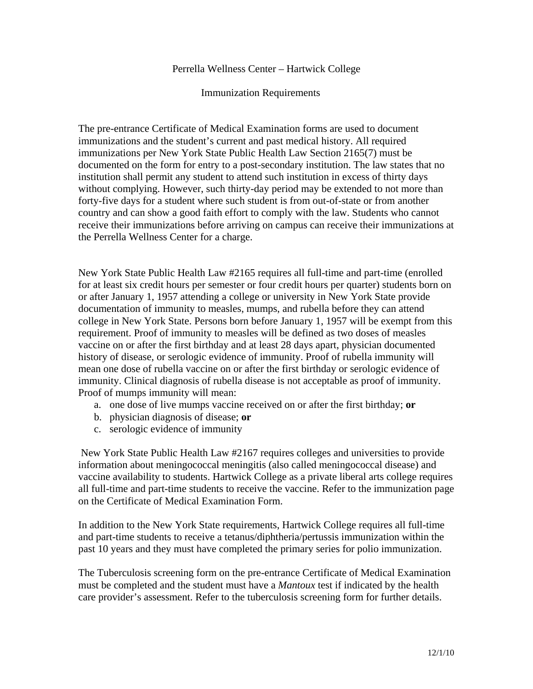## Perrella Wellness Center – Hartwick College

## Immunization Requirements

The pre-entrance Certificate of Medical Examination forms are used to document immunizations and the student's current and past medical history. All required immunizations per New York State Public Health Law Section 2165(7) must be documented on the form for entry to a post-secondary institution. The law states that no institution shall permit any student to attend such institution in excess of thirty days without complying. However, such thirty-day period may be extended to not more than forty-five days for a student where such student is from out-of-state or from another country and can show a good faith effort to comply with the law. Students who cannot receive their immunizations before arriving on campus can receive their immunizations at the Perrella Wellness Center for a charge.

New York State Public Health Law #2165 requires all full-time and part-time (enrolled for at least six credit hours per semester or four credit hours per quarter) students born on or after January 1, 1957 attending a college or university in New York State provide documentation of immunity to measles, mumps, and rubella before they can attend college in New York State. Persons born before January 1, 1957 will be exempt from this requirement. Proof of immunity to measles will be defined as two doses of measles vaccine on or after the first birthday and at least 28 days apart, physician documented history of disease, or serologic evidence of immunity. Proof of rubella immunity will mean one dose of rubella vaccine on or after the first birthday or serologic evidence of immunity. Clinical diagnosis of rubella disease is not acceptable as proof of immunity. Proof of mumps immunity will mean:

- a. one dose of live mumps vaccine received on or after the first birthday; **or**
- b. physician diagnosis of disease; **or**
- c. serologic evidence of immunity

 New York State Public Health Law #2167 requires colleges and universities to provide information about meningococcal meningitis (also called meningococcal disease) and vaccine availability to students. Hartwick College as a private liberal arts college requires all full-time and part-time students to receive the vaccine. Refer to the immunization page on the Certificate of Medical Examination Form.

In addition to the New York State requirements, Hartwick College requires all full-time and part-time students to receive a tetanus/diphtheria/pertussis immunization within the past 10 years and they must have completed the primary series for polio immunization.

The Tuberculosis screening form on the pre-entrance Certificate of Medical Examination must be completed and the student must have a *Mantoux* test if indicated by the health care provider's assessment. Refer to the tuberculosis screening form for further details.